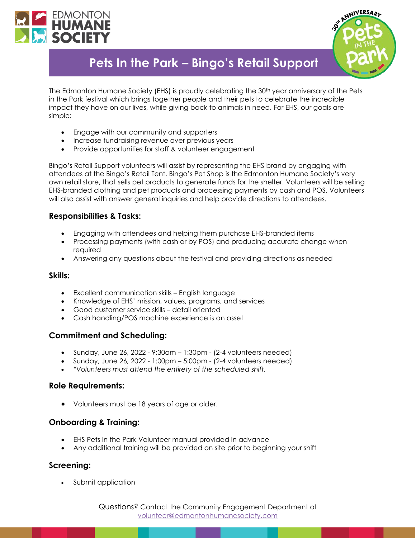



# **Pets In the Park – Bingo's Retail Support**

The Edmonton Humane Society (EHS) is proudly celebrating the 30<sup>th</sup> year anniversary of the Pets in the Park festival which brings together people and their pets to celebrate the incredible impact they have on our lives, while giving back to animals in need. For EHS, our goals are simple:

- Engage with our community and supporters
- Increase fundraising revenue over previous years
- Provide opportunities for staff & volunteer engagement

Bingo's Retail Support volunteers will assist by representing the EHS brand by engaging with attendees at the Bingo's Retail Tent. Bingo's Pet Shop is the Edmonton Humane Society's very own retail store, that sells pet products to generate funds for the shelter. Volunteers will be selling EHS-branded clothing and pet products and processing payments by cash and POS. Volunteers will also assist with answer general inquiries and help provide directions to attendees.

## **Responsibilities & Tasks:**

- Engaging with attendees and helping them purchase EHS-branded items
- Processing payments (with cash or by POS) and producing accurate change when required
- Answering any questions about the festival and providing directions as needed

#### **Skills:**

- Excellent communication skills English language
- Knowledge of EHS' mission, values, programs, and services
- Good customer service skills detail oriented
- Cash handling/POS machine experience is an asset

## **Commitment and Scheduling:**

- Sunday, June 26, 2022 9:30am 1:30pm (2-4 volunteers needed)
- Sunday, June 26, 2022 1:00pm 5:00pm (2-4 volunteers needed)
- *\*Volunteers must attend the entirety of the scheduled shift.*

#### **Role Requirements:**

• Volunteers must be 18 years of age or older.

## **Onboarding & Training:**

- EHS Pets In the Park Volunteer manual provided in advance
- Any additional training will be provided on site prior to beginning your shift

## **Screening:**

• Submit application

Questions? Contact the Community Engagement Department at [volunteer@edmontonhumanesociety.com](mailto:volunteer@edmontonhumanesociety.com)